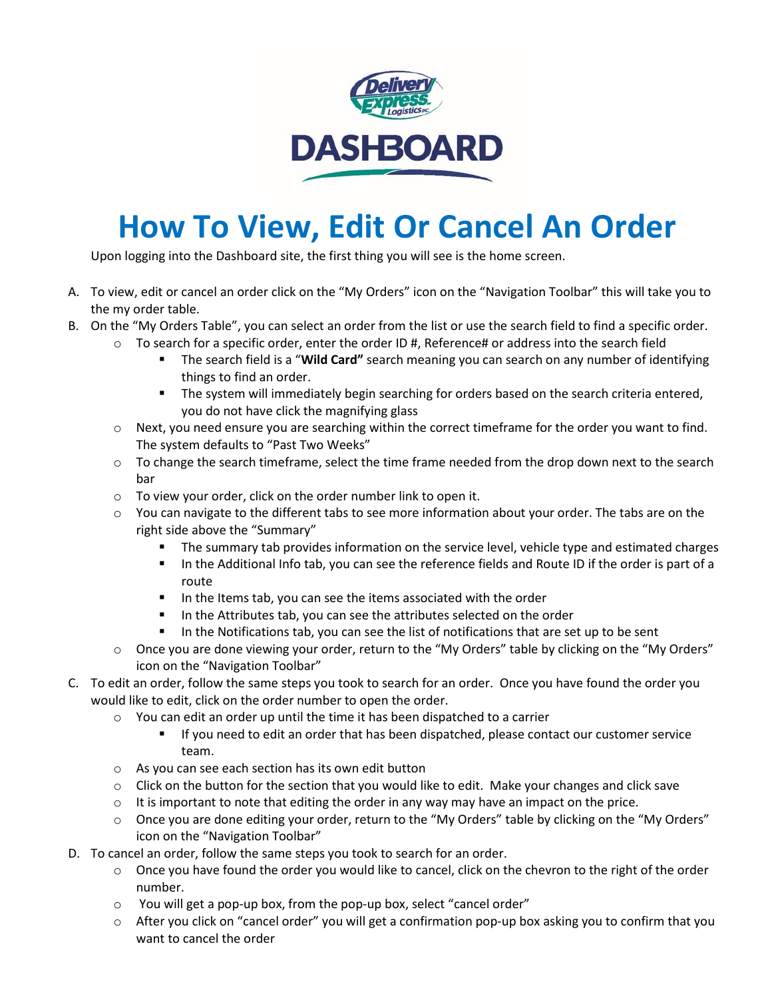

## **How To View, Edit Or Cancel An Order**

Upon logging into the Dashboard site, the first thing you will see is the home screen.

- A. To view, edit or cancel an order click on the "My Orders" icon on the "Navigation Toolbar" this will take you to the my order table.
- B. On the "My Orders Table", you can select an order from the list or use the search field to find a specific order.
	- $\circ$  To search for a specific order, enter the order ID #, Reference# or address into the search field
		- The search field is a "**Wild Card"** search meaning you can search on any number of identifying things to find an order.
		- **The system will immediately begin searching for orders based on the search criteria entered,** you do not have click the magnifying glass
	- $\circ$  Next, you need ensure you are searching within the correct timeframe for the order you want to find. The system defaults to "Past Two Weeks"
	- $\circ$  To change the search timeframe, select the time frame needed from the drop down next to the search bar
	- o To view your order, click on the order number link to open it.
	- $\circ$  You can navigate to the different tabs to see more information about your order. The tabs are on the right side above the "Summary"
		- **The summary tab provides information on the service level, vehicle type and estimated charges**
		- In the Additional Info tab, you can see the reference fields and Route ID if the order is part of a route
		- In the Items tab, you can see the items associated with the order
		- In the Attributes tab, you can see the attributes selected on the order
		- In the Notifications tab, you can see the list of notifications that are set up to be sent
	- o Once you are done viewing your order, return to the "My Orders" table by clicking on the "My Orders" icon on the "Navigation Toolbar"
- C. To edit an order, follow the same steps you took to search for an order. Once you have found the order you would like to edit, click on the order number to open the order.
	- o You can edit an order up until the time it has been dispatched to a carrier
		- If you need to edit an order that has been dispatched, please contact our customer service team.
	- o As you can see each section has its own edit button
	- $\circ$  Click on the button for the section that you would like to edit. Make your changes and click save
	- $\circ$  It is important to note that editing the order in any way may have an impact on the price.
	- o Once you are done editing your order, return to the "My Orders" table by clicking on the "My Orders" icon on the "Navigation Toolbar"
- D. To cancel an order, follow the same steps you took to search for an order.
	- $\circ$  Once you have found the order you would like to cancel, click on the chevron to the right of the order number.
	- o You will get a pop-up box, from the pop-up box, select "cancel order"
	- o After you click on "cancel order" you will get a confirmation pop-up box asking you to confirm that you want to cancel the order